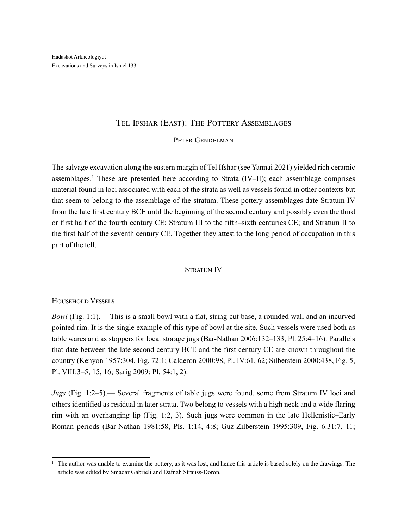Ḥadashot Arkheologiyot— Excavations and Surveys in Israel 133

# Tel Ifshar (East): The Pottery Assemblages

## Peter Gendelman

The salvage excavation along the eastern margin of Tel Ifshar (see Yannai 2021) yielded rich ceramic assemblages.<sup>1</sup> These are presented here according to Strata (IV–II); each assemblage comprises material found in loci associated with each of the strata as well as vessels found in other contexts but that seem to belong to the assemblage of the stratum. These pottery assemblages date Stratum IV from the late first century BCE until the beginning of the second century and possibly even the third or first half of the fourth century CE; Stratum III to the fifth–sixth centuries CE; and Stratum II to the first half of the seventh century CE. Together they attest to the long period of occupation in this part of the tell.

## STRATUM IV

#### Household Vessels

*Bowl* (Fig. 1:1).— This is a small bowl with a flat, string-cut base, a rounded wall and an incurved pointed rim. It is the single example of this type of bowl at the site. Such vessels were used both as table wares and as stoppers for local storage jugs (Bar-Nathan 2006:132–133, Pl. 25:4–16). Parallels that date between the late second century BCE and the first century CE are known throughout the country (Kenyon 1957:304, Fig. 72:1; Calderon 2000:98, Pl. IV:61, 62; Silberstein 2000:438, Fig. 5, Pl. VIII:3–5, 15, 16; Sarig 2009: Pl. 54:1, 2).

*Jugs* (Fig. 1:2–5).— Several fragments of table jugs were found, some from Stratum IV loci and others identified as residual in later strata. Two belong to vessels with a high neck and a wide flaring rim with an overhanging lip (Fig. 1:2, 3). Such jugs were common in the late Hellenistic–Early Roman periods (Bar-Nathan 1981:58, Pls. 1:14, 4:8; Guz-Zilberstein 1995:309, Fig. 6.31:7, 11;

<sup>1</sup> The author was unable to examine the pottery, as it was lost, and hence this article is based solely on the drawings. The article was edited by Smadar Gabrieli and Dafnah Strauss-Doron.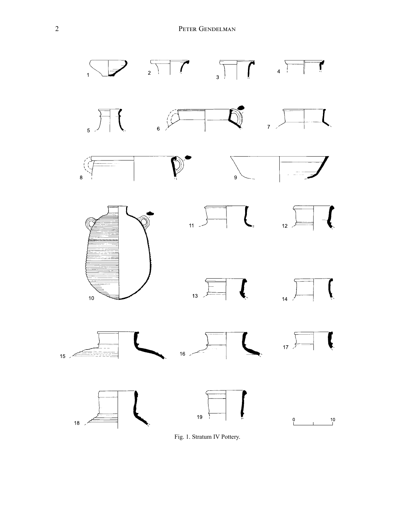

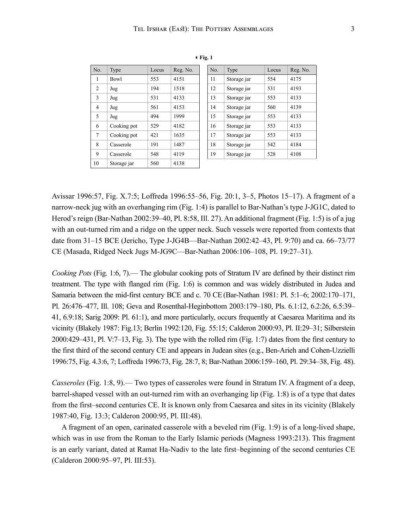| No.            | Type        | Locus | Reg. No. |
|----------------|-------------|-------|----------|
| $\mathbf{1}$   | <b>Bowl</b> | 553   | 4151     |
| 2              | Jug         | 194   | 1518     |
| 3              | Jug         | 531   | 4133     |
| $\overline{4}$ | Jug         | 561   | 4153     |
| 5              | Jug         | 494   | 1999     |
| 6              | Cooking pot | 529   | 4182     |
| 7              | Cooking pot | 421   | 1635     |
| 8              | Casserole   | 191   | 1487     |
| 9              | Casserole   | 548   | 4119     |
| 10             | Storage jar | 560   | 4138     |

3**Fig. 1**

| No. | Type        | Locus | Reg. No. |
|-----|-------------|-------|----------|
| 11  | Storage jar | 554   | 4175     |
| 12  | Storage jar | 531   | 4193     |
| 13  | Storage jar | 553   | 4133     |
| 14  | Storage jar | 560   | 4139     |
| 15  | Storage jar | 553   | 4133     |
| 16  | Storage jar | 553   | 4133     |
| 17  | Storage jar | 553   | 4133     |
| 18  | Storage jar | 542   | 4184     |
| 19  | Storage jar | 528   | 4108     |

Avissar 1996:57, Fig. X.7:5; Loffreda 1996:55–56, Fig. 20:1, 3–5, Photos 15–17). A fragment of a narrow-neck jug with an overhanging rim (Fig. 1:4) is parallel to Bar-Nathan's type J-JG1C, dated to Herod's reign (Bar-Nathan 2002:39–40, Pl. 8:58, Ill. 27). An additional fragment (Fig. 1:5) is of a jug with an out-turned rim and a ridge on the upper neck. Such vessels were reported from contexts that date from 31–15 BCE (Jericho, Type J-JG4B—Bar-Nathan 2002:42–43, Pl. 9:70) and ca. 66–73/77 CE (Masada, Ridged Neck Jugs M-JG9C—Bar-Nathan 2006:106–108, Pl. 19:27–31).

*Cooking Pots* (Fig. 1:6, 7).— The globular cooking pots of Stratum IV are defined by their distinct rim treatment. The type with flanged rim (Fig. 1:6) is common and was widely distributed in Judea and Samaria between the mid-first century BCE and c. 70 CE(Bar-Nathan 1981: Pl. 5:1–6; 2002:170–171, Pl. 26:476–477, Ill. 108; Geva and Rosenthal-Heginbottom 2003:179–180, Pls. 6.1:12, 6.2:26, 6.5:39– 41, 6.9:18; Sarig 2009: Pl. 61:1), and more particularly, occurs frequently at Caesarea Maritima and its vicinity (Blakely 1987: Fig.13; Berlin 1992:120, Fig. 55:15; Calderon 2000:93, Pl. II:29–31; Silberstein 2000:429–431, Pl. V:7–13, Fig. 3). The type with the rolled rim (Fig. 1:7) dates from the first century to the first third of the second century CE and appears in Judean sites (e.g., Ben-Arieh and Cohen-Uzzielli 1996:75, Fig. 4.3:6, 7; Loffreda 1996:73, Fig. 28:7, 8; Bar-Nathan 2006:159–160, Pl. 29:34–38, Fig. 48).

*Casseroles* (Fig. 1:8, 9).— Two types of casseroles were found in Stratum IV. A fragment of a deep, barrel-shaped vessel with an out-turned rim with an overhanging lip (Fig. 1:8) is of a type that dates from the first–second centuries CE. It is known only from Caesarea and sites in its vicinity (Blakely 1987:40, Fig. 13:3; Calderon 2000:95, Pl. III:48).

A fragment of an open, carinated casserole with a beveled rim (Fig. 1:9) is of a long-lived shape, which was in use from the Roman to the Early Islamic periods (Magness 1993:213). This fragment is an early variant, dated at Ramat Ha-Nadiv to the late first–beginning of the second centuries CE (Calderon 2000:95–97, Pl. III:53).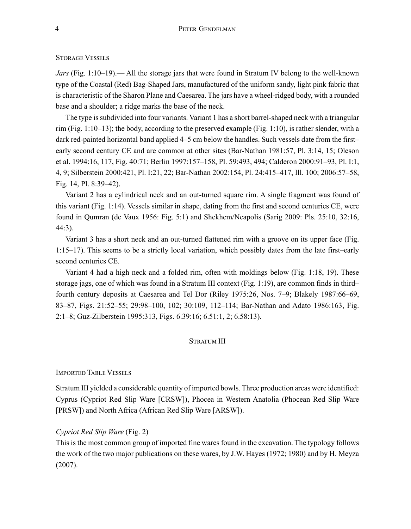#### Storage Vessels

*Jars* (Fig. 1:10–19).— All the storage jars that were found in Stratum IV belong to the well-known type of the Coastal (Red) Bag-Shaped Jars, manufactured of the uniform sandy, light pink fabric that is characteristic of the Sharon Plane and Caesarea. The jars have a wheel-ridged body, with a rounded base and a shoulder; a ridge marks the base of the neck.

The type is subdivided into four variants. Variant 1 has a short barrel-shaped neck with a triangular rim (Fig. 1:10–13); the body, according to the preserved example (Fig. 1:10), is rather slender, with a dark red-painted horizontal band applied 4–5 cm below the handles. Such vessels date from the first– early second century CE and are common at other sites (Bar-Nathan 1981:57, Pl. 3:14, 15; Oleson et al. 1994:16, 117, Fig. 40:71; Berlin 1997:157–158, Pl. 59:493, 494; Calderon 2000:91–93, Pl. I:1, 4, 9; Silberstein 2000:421, Pl. I:21, 22; Bar-Nathan 2002:154, Pl. 24:415–417, Ill. 100; 2006:57–58, Fig. 14, Pl. 8:39–42).

Variant 2 has a cylindrical neck and an out-turned square rim. A single fragment was found of this variant (Fig. 1:14). Vessels similar in shape, dating from the first and second centuries CE, were found in Qumran (de Vaux 1956: Fig. 5:1) and Shekhem/Neapolis (Sarig 2009: Pls. 25:10, 32:16, 44:3).

Variant 3 has a short neck and an out-turned flattened rim with a groove on its upper face (Fig. 1:15–17). This seems to be a strictly local variation, which possibly dates from the late first–early second centuries CE.

Variant 4 had a high neck and a folded rim, often with moldings below (Fig. 1:18, 19). These storage jags, one of which was found in a Stratum III context (Fig. 1:19), are common finds in third– fourth century deposits at Caesarea and Tel Dor (Riley 1975:26, Nos. 7–9; Blakely 1987:66–69, 83–87, Figs. 21:52–55; 29:98–100, 102; 30:109, 112–114; Bar-Nathan and Adato 1986:163, Fig. 2:1–8; Guz-Zilberstein 1995:313, Figs. 6.39:16; 6.51:1, 2; 6.58:13).

## STRATUM III

## Imported Table Vessels

Stratum III yielded a considerable quantity of imported bowls. Three production areas were identified: Cyprus (Cypriot Red Slip Ware [CRSW]), Phocea in Western Anatolia (Phocean Red Slip Ware [PRSW]) and North Africa (African Red Slip Ware [ARSW]).

## *Cypriot Red Slip Ware* (Fig. 2)

This is the most common group of imported fine wares found in the excavation. The typology follows the work of the two major publications on these wares, by J.W. Hayes (1972; 1980) and by H. Meyza (2007).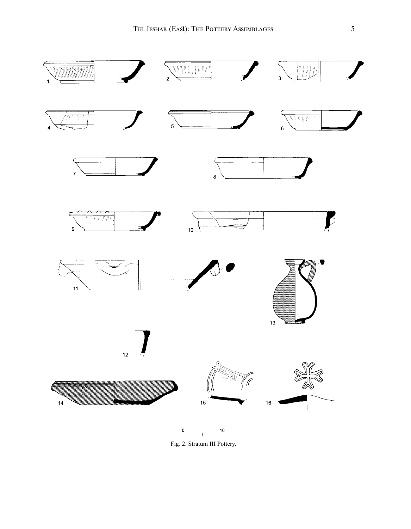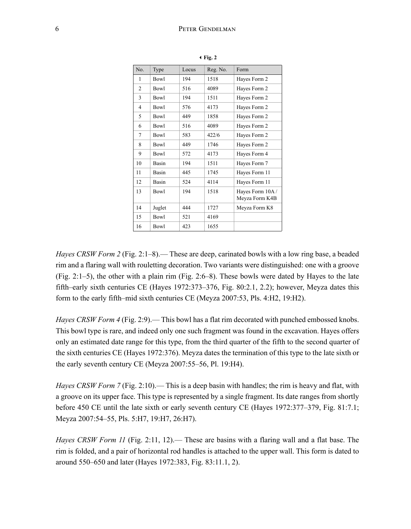| No.            | Type         | Locus | Reg. No. | Form                              |
|----------------|--------------|-------|----------|-----------------------------------|
| 1              | <b>Bowl</b>  | 194   | 1518     | Hayes Form 2                      |
| $\overline{2}$ | <b>Bowl</b>  | 516   | 4089     | Hayes Form 2                      |
| 3              | Bowl         | 194   | 1511     | Hayes Form 2                      |
| 4              | <b>Bowl</b>  | 576   | 4173     | Hayes Form 2                      |
| 5              | <b>Bowl</b>  | 449   | 1858     | Hayes Form 2                      |
| 6              | <b>Bowl</b>  | 516   | 4089     | Hayes Form 2                      |
| 7              | <b>Bowl</b>  | 583   | 422/6    | Hayes Form 2                      |
| 8              | <b>Bowl</b>  | 449   | 1746     | Hayes Form 2                      |
| 9              | <b>Bowl</b>  | 572   | 4173     | Hayes Form 4                      |
| 10             | <b>Basin</b> | 194   | 1511     | Hayes Form 7                      |
| 11             | <b>Basin</b> | 445   | 1745     | Hayes Form 11                     |
| 12             | Basin        | 524   | 4114     | Hayes Form 11                     |
| 13             | <b>Bowl</b>  | 194   | 1518     | Hayes Form 10A/<br>Meyza Form K4B |
| 14             | Juglet       | 444   | 1727     | Meyza Form K8                     |
| 15             | <b>Bowl</b>  | 521   | 4169     |                                   |
| 16             | <b>Bowl</b>  | 423   | 1655     |                                   |

3**Fig. 2**

*Hayes CRSW Form 2* (Fig. 2:1–8).— These are deep, carinated bowls with a low ring base, a beaded rim and a flaring wall with rouletting decoration. Two variants were distinguished: one with a groove (Fig. 2:1–5), the other with a plain rim (Fig. 2:6–8). These bowls were dated by Hayes to the late fifth–early sixth centuries CE (Hayes 1972:373–376, Fig. 80:2.1, 2.2); however, Meyza dates this form to the early fifth–mid sixth centuries CE (Meyza 2007:53, Pls. 4:H2, 19:H2).

*Hayes CRSW Form 4* (Fig. 2:9).— This bowl has a flat rim decorated with punched embossed knobs. This bowl type is rare, and indeed only one such fragment was found in the excavation. Hayes offers only an estimated date range for this type, from the third quarter of the fifth to the second quarter of the sixth centuries CE (Hayes 1972:376). Meyza dates the termination of this type to the late sixth or the early seventh century CE (Meyza 2007:55–56, Pl. 19:H4).

*Hayes CRSW Form 7* (Fig. 2:10).— This is a deep basin with handles; the rim is heavy and flat, with a groove on its upper face. This type is represented by a single fragment. Its date ranges from shortly before 450 CE until the late sixth or early seventh century CE (Hayes 1972:377–379, Fig. 81:7.1; Meyza 2007:54–55, Pls. 5:H7, 19:H7, 26:H7).

*Hayes CRSW Form 11* (Fig. 2:11, 12).— These are basins with a flaring wall and a flat base. The rim is folded, and a pair of horizontal rod handles is attached to the upper wall. This form is dated to around 550–650 and later (Hayes 1972:383, Fig. 83:11.1, 2).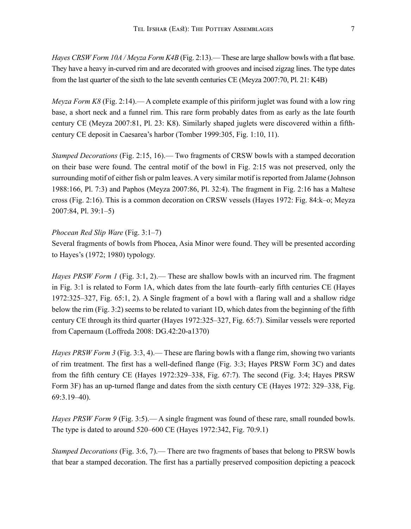*Hayes CRSW Form 10A / Meyza Form K4B* (Fig. 2:13).— These are large shallow bowls with a flat base. They have a heavy in-curved rim and are decorated with grooves and incised zigzag lines. The type dates from the last quarter of the sixth to the late seventh centuries CE (Meyza 2007:70, Pl. 21: K4B)

*Meyza Form K8* (Fig. 2:14).— A complete example of this piriform juglet was found with a low ring base, a short neck and a funnel rim. This rare form probably dates from as early as the late fourth century CE (Meyza 2007:81, Pl. 23: K8). Similarly shaped juglets were discovered within a fifthcentury CE deposit in Caesarea's harbor (Tomber 1999:305, Fig. 1:10, 11).

*Stamped Decorations* (Fig. 2:15, 16).— Two fragments of CRSW bowls with a stamped decoration on their base were found. The central motif of the bowl in Fig. 2:15 was not preserved, only the surrounding motif of either fish or palm leaves. A very similar motif is reported from Jalame (Johnson 1988:166, Pl. 7:3) and Paphos (Meyza 2007:86, Pl. 32:4). The fragment in Fig. 2:16 has a Maltese cross (Fig. 2:16). This is a common decoration on CRSW vessels (Hayes 1972: Fig. 84:k–o; Meyza 2007:84, Pl. 39:1–5)

## *Phocean Red Slip Ware* (Fig. 3:1–7)

Several fragments of bowls from Phocea, Asia Minor were found. They will be presented according to Hayes's (1972; 1980) typology.

*Hayes PRSW Form 1* (Fig. 3:1, 2).— These are shallow bowls with an incurved rim. The fragment in Fig. 3:1 is related to Form 1A, which dates from the late fourth–early fifth centuries CE (Hayes 1972:325–327, Fig. 65:1, 2). A Single fragment of a bowl with a flaring wall and a shallow ridge below the rim (Fig. 3:2) seems to be related to variant 1D, which dates from the beginning of the fifth century CE through its third quarter (Hayes 1972:325–327, Fig. 65:7). Similar vessels were reported from Capernaum (Loffreda 2008: DG.42:20-a1370)

*Hayes PRSW Form 3 (Fig. 3:3, 4).*— These are flaring bowls with a flange rim, showing two variants of rim treatment. The first has a well-defined flange (Fig. 3:3; Hayes PRSW Form 3C) and dates from the fifth century CE (Hayes 1972:329–338, Fig. 67:7). The second (Fig. 3:4; Hayes PRSW Form 3F) has an up-turned flange and dates from the sixth century CE (Hayes 1972: 329–338, Fig. 69:3.19–40).

*Hayes PRSW Form 9* (Fig. 3:5).— A single fragment was found of these rare, small rounded bowls. The type is dated to around 520–600 CE (Hayes 1972:342, Fig. 70:9.1)

*Stamped Decorations* (Fig. 3:6, 7).— There are two fragments of bases that belong to PRSW bowls that bear a stamped decoration. The first has a partially preserved composition depicting a peacock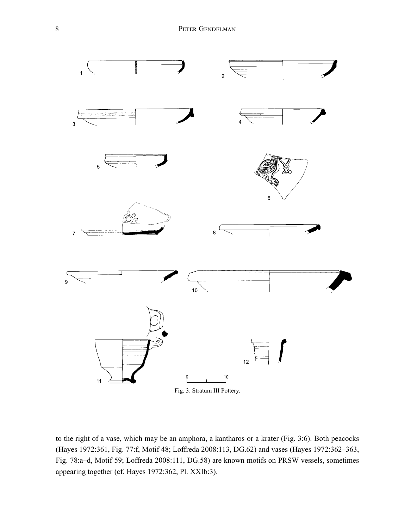

to the right of a vase, which may be an amphora, a kantharos or a krater (Fig. 3:6). Both peacocks (Hayes 1972:361, Fig. 77:f, Motif 48; Loffreda 2008:113, DG.62) and vases (Hayes 1972:362–363, Fig. 78:a–d, Motif 59; Loffreda 2008:111, DG.58) are known motifs on PRSW vessels, sometimes appearing together (cf. Hayes 1972:362, Pl. XXIb:3).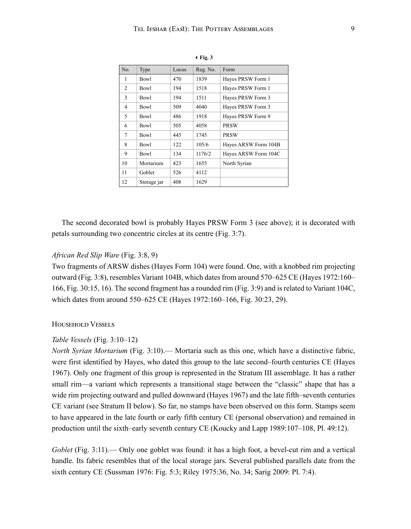| No.            | Type        | Locus | Reg. No. | Form                 |
|----------------|-------------|-------|----------|----------------------|
| 1              | <b>Bowl</b> | 470   | 1839     | Hayes PRSW Form 1    |
| 2              | <b>Bowl</b> | 194   | 1518     | Hayes PRSW Form 1    |
| 3              | <b>Bowl</b> | 194   | 1511     | Hayes PRSW Form 3    |
| $\overline{4}$ | <b>Bowl</b> | 509   | 4040     | Hayes PRSW Form 3    |
| 5              | <b>Bowl</b> | 486   | 1918     | Hayes PRSW Form 9    |
| 6              | <b>Bowl</b> | 505   | 4058     | <b>PRSW</b>          |
| 7              | <b>Bowl</b> | 445   | 1745     | <b>PRSW</b>          |
| 8              | <b>Bowl</b> | 122   | 105/6    | Hayes ARSW Form 104B |
| 9              | <b>Bowl</b> | 134   | 1176/2   | Hayes ARSW Form 104C |
| 10             | Mortarium   | 423   | 1655     | North Syrian         |
| 11             | Goblet      | 526   | 4112     |                      |
| 12             | Storage jar | 408   | 1629     |                      |

3**Fig. 3**

The second decorated bowl is probably Hayes PRSW Form 3 (see above); it is decorated with petals surrounding two concentric circles at its centre (Fig. 3:7).

## *African Red Slip Ware* (Fig. 3:8, 9)

Two fragments of ARSW dishes (Hayes Form 104) were found. One, with a knobbed rim projecting outward (Fig. 3:8), resembles Variant 104B, which dates from around 570–625 CE (Hayes 1972:160– 166, Fig. 30:15, 16). The second fragment has a rounded rim (Fig. 3:9) and is related to Variant 104C, which dates from around 550–625 CE (Hayes 1972:160–166, Fig. 30:23, 29).

#### Household Vessels

#### *Table Vessels* (Fig. 3:10–12)

*North Syrian Mortarium* (Fig. 3:10).— Mortaria such as this one, which have a distinctive fabric, were first identified by Hayes, who dated this group to the late second–fourth centuries CE (Hayes 1967). Only one fragment of this group is represented in the Stratum III assemblage. It has a rather small rim—a variant which represents a transitional stage between the "classic" shape that has a wide rim projecting outward and pulled downward (Hayes 1967) and the late fifth–seventh centuries CE variant (see Stratum II below). So far, no stamps have been observed on this form. Stamps seem to have appeared in the late fourth or early fifth century CE (personal observation) and remained in production until the sixth–early seventh century CE (Koucky and Lapp 1989:107–108, Pl. 49:12).

*Goblet* (Fig. 3:11).— Only one goblet was found: it has a high foot, a bevel-cut rim and a vertical handle. Its fabric resembles that of the local storage jars. Several published parallels date from the sixth century CE (Sussman 1976: Fig. 5:3; Riley 1975:36, No. 34; Sarig 2009: Pl. 7:4).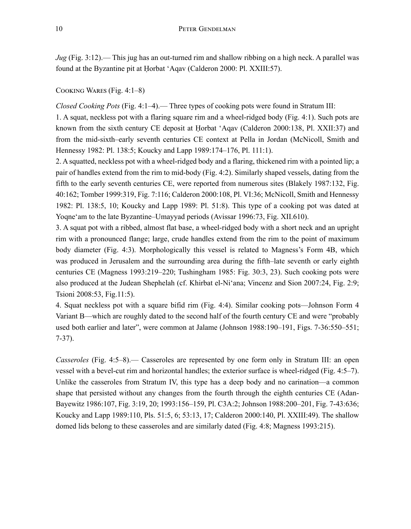*Jug* (Fig. 3:12).— This jug has an out-turned rim and shallow ribbing on a high neck. A parallel was found at the Byzantine pit at Ḥorbat 'Aqav (Calderon 2000: Pl. XXIII:57).

## Cooking Wares (Fig. 4:1–8)

*Closed Cooking Pots* (Fig. 4:1–4).— Three types of cooking pots were found in Stratum III:

1. A squat, neckless pot with a flaring square rim and a wheel-ridged body (Fig. 4:1). Such pots are known from the sixth century CE deposit at Ḥorbat 'Aqav (Calderon 2000:138, Pl. XXII:37) and from the mid-sixth–early seventh centuries CE context at Pella in Jordan (McNicoll, Smith and Hennessy 1982: Pl. 138:5; Koucky and Lapp 1989:174–176, Pl. 111:1).

2. A squatted, neckless pot with a wheel-ridged body and a flaring, thickened rim with a pointed lip; a pair of handles extend from the rim to mid-body (Fig. 4:2). Similarly shaped vessels, dating from the fifth to the early seventh centuries CE, were reported from numerous sites (Blakely 1987:132, Fig. 40:162; Tomber 1999:319, Fig. 7:116; Calderon 2000:108, Pl. VI:36; McNicoll, Smith and Hennessy 1982: Pl. 138:5, 10; Koucky and Lapp 1989: Pl. 51:8). This type of a cooking pot was dated at Yoqne'am to the late Byzantine–Umayyad periods (Avissar 1996:73, Fig. XII.610).

3. A squat pot with a ribbed, almost flat base, a wheel-ridged body with a short neck and an upright rim with a pronounced flange; large, crude handles extend from the rim to the point of maximum body diameter (Fig. 4:3). Morphologically this vessel is related to Magness's Form 4B, which was produced in Jerusalem and the surrounding area during the fifth–late seventh or early eighth centuries CE (Magness 1993:219–220; Tushingham 1985: Fig. 30:3, 23). Such cooking pots were also produced at the Judean Shephelah (cf. Khirbat el-Ni'ana; Vincenz and Sion 2007:24, Fig. 2:9; Tsioni 2008:53, Fig.11:5).

4. Squat neckless pot with a square bifid rim (Fig. 4:4). Similar cooking pots—Johnson Form 4 Variant B—which are roughly dated to the second half of the fourth century CE and were "probably used both earlier and later", were common at Jalame (Johnson 1988:190–191, Figs. 7-36:550–551; 7-37).

*Casseroles* (Fig. 4:5–8).— Casseroles are represented by one form only in Stratum III: an open vessel with a bevel-cut rim and horizontal handles; the exterior surface is wheel-ridged (Fig. 4:5–7). Unlike the casseroles from Stratum IV, this type has a deep body and no carination—a common shape that persisted without any changes from the fourth through the eighth centuries CE (Adan-Bayewitz 1986:107, Fig. 3:19, 20; 1993:156–159, Pl. C3A:2; Johnson 1988:200–201, Fig. 7-43:636; Koucky and Lapp 1989:110, Pls. 51:5, 6; 53:13, 17; Calderon 2000:140, Pl. XXIII:49). The shallow domed lids belong to these casseroles and are similarly dated (Fig. 4:8; Magness 1993:215).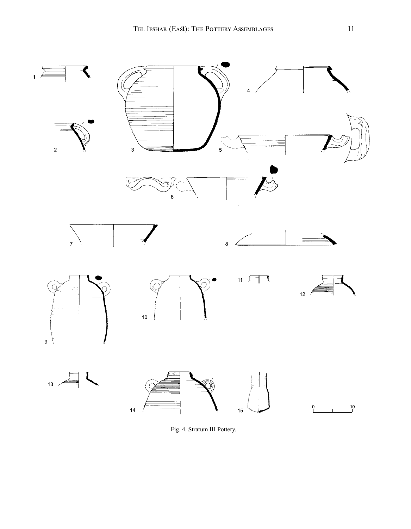

Fig. 4. Stratum III Pottery.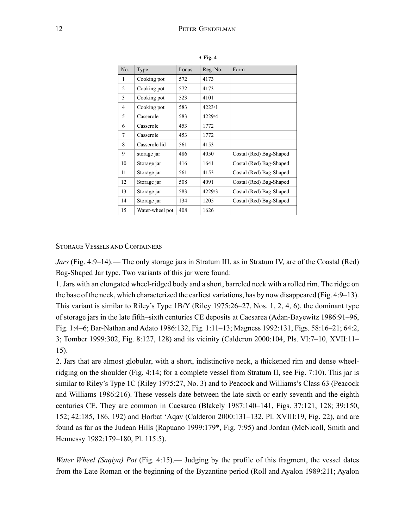| No.            | Type            | Locus | Reg. No. | Form                    |
|----------------|-----------------|-------|----------|-------------------------|
| 1              | Cooking pot     | 572   | 4173     |                         |
| $\overline{2}$ | Cooking pot     | 572   | 4173     |                         |
| 3              | Cooking pot     | 523   | 4101     |                         |
| $\overline{4}$ | Cooking pot     | 583   | 4223/1   |                         |
| 5              | Casserole       | 583   | 4229/4   |                         |
| 6              | Casserole       | 453   | 1772     |                         |
| 7              | Casserole       | 453   | 1772     |                         |
| 8              | Casserole lid   | 561   | 4153     |                         |
| 9              | storage jar     | 486   | 4050     | Costal (Red) Bag-Shaped |
| 10             | Storage jar     | 416   | 1641     | Costal (Red) Bag-Shaped |
| 11             | Storage jar     | 561   | 4153     | Costal (Red) Bag-Shaped |
| 12             | Storage jar     | 508   | 4091     | Costal (Red) Bag-Shaped |
| 13             | Storage jar     | 583   | 4229/3   | Costal (Red) Bag-Shaped |
| 14             | Storage jar     | 134   | 1205     | Costal (Red) Bag-Shaped |
| 15             | Water-wheel pot | 408   | 1626     |                         |

3**Fig. 4**

### Storage Vessels and Containers

*Jars* (Fig. 4:9–14).— The only storage jars in Stratum III, as in Stratum IV, are of the Coastal (Red) Bag-Shaped Jar type. Two variants of this jar were found:

1. Jars with an elongated wheel-ridged body and a short, barreled neck with a rolled rim. The ridge on the base of the neck, which characterized the earliest variations, has by now disappeared (Fig. 4:9–13). This variant is similar to Riley's Type 1B/Y (Riley 1975:26–27, Nos. 1, 2, 4, 6), the dominant type of storage jars in the late fifth–sixth centuries CE deposits at Caesarea (Adan-Bayewitz 1986:91–96, Fig. 1:4–6; Bar-Nathan and Adato 1986:132, Fig. 1:11–13; Magness 1992:131, Figs. 58:16–21; 64:2, 3; Tomber 1999:302, Fig. 8:127, 128) and its vicinity (Calderon 2000:104, Pls. VI:7–10, XVII:11– 15).

2. Jars that are almost globular, with a short, indistinctive neck, a thickened rim and dense wheelridging on the shoulder (Fig. 4:14; for a complete vessel from Stratum II, see Fig. 7:10). This jar is similar to Riley's Type 1C (Riley 1975:27, No. 3) and to Peacock and Williams's Class 63 (Peacock and Williams 1986:216). These vessels date between the late sixth or early seventh and the eighth centuries CE. They are common in Caesarea (Blakely 1987:140–141, Figs. 37:121, 128; 39:150, 152; 42:185, 186, 192) and Ḥorbat 'Aqav (Calderon 2000:131–132, Pl. XVIII:19, Fig. 22), and are found as far as the Judean Hills (Rapuano 1999:179\*, Fig. 7:95) and Jordan (McNicoll, Smith and Hennessy 1982:179–180, Pl. 115:5).

*Water Wheel (Saqiya) Pot* (Fig. 4:15).— Judging by the profile of this fragment, the vessel dates from the Late Roman or the beginning of the Byzantine period (Roll and Ayalon 1989:211; Ayalon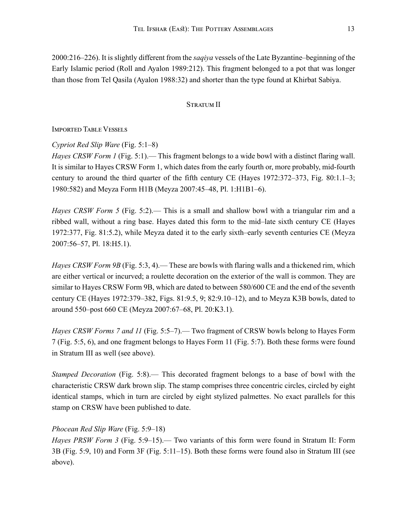2000:216–226). It is slightly different from the *saqiya* vessels of the Late Byzantine–beginning of the Early Islamic period (Roll and Ayalon 1989:212). This fragment belonged to a pot that was longer than those from Tel Qasila (Ayalon 1988:32) and shorter than the type found at Khirbat Sabiya.

## Stratum II

### Imported Table Vessels

## *Cypriot Red Slip Ware* (Fig. 5:1–8)

*Hayes CRSW Form 1* (Fig. 5:1).— This fragment belongs to a wide bowl with a distinct flaring wall. It is similar to Hayes CRSW Form 1, which dates from the early fourth or, more probably, mid-fourth century to around the third quarter of the fifth century CE (Hayes 1972:372–373, Fig. 80:1.1–3; 1980:582) and Meyza Form H1B (Meyza 2007:45–48, Pl. 1:H1B1–6).

*Hayes CRSW Form 5* (Fig. 5:2).— This is a small and shallow bowl with a triangular rim and a ribbed wall, without a ring base. Hayes dated this form to the mid–late sixth century CE (Hayes 1972:377, Fig. 81:5.2), while Meyza dated it to the early sixth–early seventh centuries CE (Meyza 2007:56–57, Pl. 18:H5.1).

*Hayes CRSW Form 9B* (Fig. 5:3, 4).— These are bowls with flaring walls and a thickened rim, which are either vertical or incurved; a roulette decoration on the exterior of the wall is common. They are similar to Hayes CRSW Form 9B, which are dated to between 580/600 CE and the end of the seventh century CE (Hayes 1972:379–382, Figs. 81:9.5, 9; 82:9.10–12), and to Meyza K3B bowls, dated to around 550–post 660 CE (Meyza 2007:67–68, Pl. 20:K3.1).

*Hayes CRSW Forms 7 and 11* (Fig. 5:5–7).— Two fragment of CRSW bowls belong to Hayes Form 7 (Fig. 5:5, 6), and one fragment belongs to Hayes Form 11 (Fig. 5:7). Both these forms were found in Stratum III as well (see above).

*Stamped Decoration* (Fig. 5:8).— This decorated fragment belongs to a base of bowl with the characteristic CRSW dark brown slip. The stamp comprises three concentric circles, circled by eight identical stamps, which in turn are circled by eight stylized palmettes. No exact parallels for this stamp on CRSW have been published to date.

# *Phocean Red Slip Ware* (Fig. 5:9–18)

*Hayes PRSW Form 3* (Fig. 5:9–15).— Two variants of this form were found in Stratum II: Form 3B (Fig. 5:9, 10) and Form 3F (Fig. 5:11–15). Both these forms were found also in Stratum III (see above).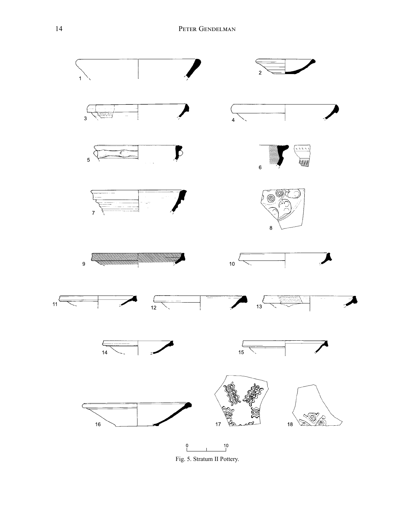

Fig. 5. Stratum II Pottery.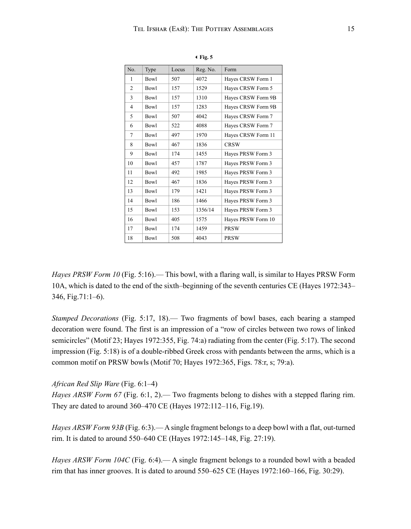| N <sub>0</sub> | Type        | Locus | Reg. No. | Form               |
|----------------|-------------|-------|----------|--------------------|
| 1              | <b>Bowl</b> | 507   | 4072     | Hayes CRSW Form 1  |
| $\mathfrak{D}$ | <b>Bowl</b> | 157   | 1529     | Hayes CRSW Form 5  |
| 3              | <b>Bowl</b> | 157   | 1310     | Hayes CRSW Form 9B |
| $\overline{4}$ | <b>Bowl</b> | 157   | 1283     | Hayes CRSW Form 9B |
| 5              | <b>Bowl</b> | 507   | 4042     | Hayes CRSW Form 7  |
| 6              | <b>Bowl</b> | 522   | 4088     | Hayes CRSW Form 7  |
| 7              | <b>Bowl</b> | 497   | 1970     | Hayes CRSW Form 11 |
| 8              | <b>Bowl</b> | 467   | 1836     | <b>CRSW</b>        |
| 9              | <b>Bowl</b> | 174   | 1455     | Hayes PRSW Form 3  |
| 10             | <b>Bowl</b> | 457   | 1787     | Hayes PRSW Form 3  |
| 11             | <b>Bowl</b> | 492   | 1985     | Hayes PRSW Form 3  |
| 12             | <b>Bowl</b> | 467   | 1836     | Hayes PRSW Form 3  |
| 13             | <b>Bowl</b> | 179   | 1421     | Hayes PRSW Form 3  |
| 14             | <b>Bowl</b> | 186   | 1466     | Hayes PRSW Form 3  |
| 15             | <b>Bowl</b> | 153   | 1356/14  | Hayes PRSW Form 3  |
| 16             | <b>Bowl</b> | 405   | 1575     | Hayes PRSW Form 10 |
| 17             | <b>Bowl</b> | 174   | 1459     | <b>PRSW</b>        |
| 18             | <b>Bowl</b> | 508   | 4043     | <b>PRSW</b>        |

3**Fig. 5**

*Hayes PRSW Form 10* (Fig. 5:16).— This bowl, with a flaring wall, is similar to Hayes PRSW Form 10A, which is dated to the end of the sixth–beginning of the seventh centuries CE (Hayes 1972:343– 346, Fig.71:1–6).

*Stamped Decorations* (Fig. 5:17, 18).— Two fragments of bowl bases, each bearing a stamped decoration were found. The first is an impression of a "row of circles between two rows of linked semicircles" (Motif 23; Hayes 1972:355, Fig. 74:a) radiating from the center (Fig. 5:17). The second impression (Fig. 5:18) is of a double-ribbed Greek cross with pendants between the arms, which is a common motif on PRSW bowls (Motif 70; Hayes 1972:365, Figs. 78:r, s; 79:a).

*African Red Slip Ware* (Fig. 6:1–4)

*Hayes ARSW Form 67* (Fig. 6:1, 2).— Two fragments belong to dishes with a stepped flaring rim. They are dated to around 360–470 CE (Hayes 1972:112–116, Fig.19).

*Hayes ARSW Form 93B* (Fig. 6:3).— A single fragment belongs to a deep bowl with a flat, out-turned rim. It is dated to around 550–640 CE (Hayes 1972:145–148, Fig. 27:19).

*Hayes ARSW Form 104C* (Fig. 6:4).— A single fragment belongs to a rounded bowl with a beaded rim that has inner grooves. It is dated to around 550–625 CE (Hayes 1972:160–166, Fig. 30:29).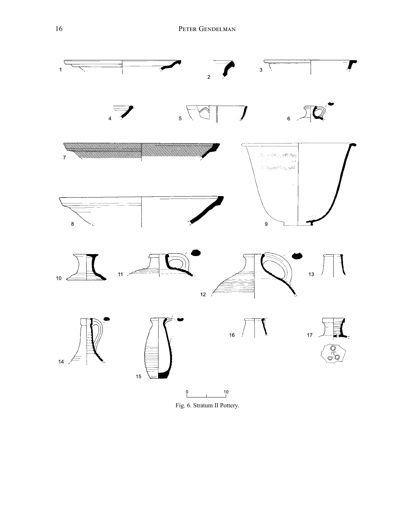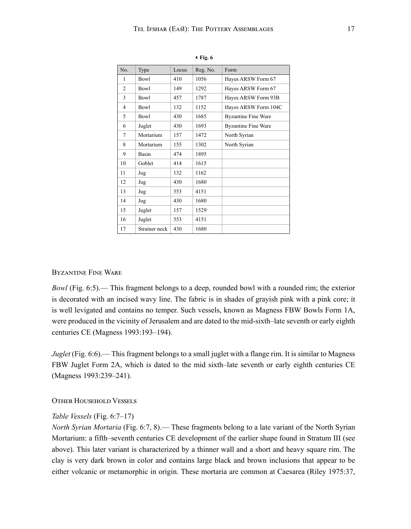| No.            | Type          | Locus | Reg. No. | Form                       |
|----------------|---------------|-------|----------|----------------------------|
| 1              | <b>Bowl</b>   | 410   | 1056     | Hayes ARSW Form 67         |
| $\overline{c}$ | <b>Bowl</b>   | 149   | 1292     | Hayes ARSW Form 67         |
| 3              | <b>Bowl</b>   | 457   | 1787     | Hayes ARSW Form 93B        |
| 4              | <b>Bowl</b>   | 132   | 1152     | Hayes ARSW Form 104C       |
| 5              | Bowl          | 430   | 1685     | <b>Byzantine Fine Ware</b> |
| 6              | Juglet        | 430   | 1693     | <b>Byzantine Fine Ware</b> |
| 7              | Mortarium     | 157   | 1472     | North Syrian               |
| 8              | Mortarium     | 155   | 1302     | North Syrian               |
| 9              | <b>Basin</b>  | 474   | 1895     |                            |
| 10             | Goblet        | 414   | 1615     |                            |
| 11             | Jug           | 132   | 1162     |                            |
| 12             | Jug           | 430   | 1680     |                            |
| 13             | Jug           | 553   | 4151     |                            |
| 14             | Jug           | 430   | 1680     |                            |
| 15             | Juglet        | 157   | 1529     |                            |
| 16             | Juglet        | 553   | 4151     |                            |
| 17             | Strainer neck | 430   | 1680     |                            |

3**Fig. 6**

#### Byzantine Fine Ware

*Bowl* (Fig. 6:5).— This fragment belongs to a deep, rounded bowl with a rounded rim; the exterior is decorated with an incised wavy line. The fabric is in shades of grayish pink with a pink core; it is well levigated and contains no temper. Such vessels, known as Magness FBW Bowls Form 1A, were produced in the vicinity of Jerusalem and are dated to the mid-sixth–late seventh or early eighth centuries CE (Magness 1993:193–194).

*Juglet* (Fig. 6:6).— This fragment belongs to a small juglet with a flange rim. It is similar to Magness FBW Juglet Form 2A, which is dated to the mid sixth–late seventh or early eighth centuries CE (Magness 1993:239–241).

#### Other Household Vessels

#### *Table Vessels* (Fig. 6:7–17)

*North Syrian Mortaria* (Fig. 6:7, 8).— These fragments belong to a late variant of the North Syrian Mortarium: a fifth–seventh centuries CE development of the earlier shape found in Stratum III (see above). This later variant is characterized by a thinner wall and a short and heavy square rim. The clay is very dark brown in color and contains large black and brown inclusions that appear to be either volcanic or metamorphic in origin. These mortaria are common at Caesarea (Riley 1975:37,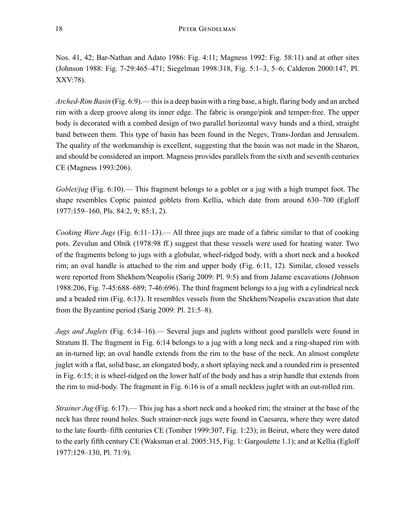Nos. 41, 42; Bar-Nathan and Adato 1986: Fig. 4:11; Magness 1992: Fig. 58:11) and at other sites (Johnson 1988: Fig. 7-29:465–471; Siegelman 1998:318, Fig. 5:1–3, 5–6; Calderon 2000:147, Pl. XXV:78).

*Arched-Rim Basin* (Fig. 6:9).— this is a deep basin with a ring base, a high, flaring body and an arched rim with a deep groove along its inner edge. The fabric is orange/pink and temper-free. The upper body is decorated with a combed design of two parallel horizontal wavy bands and a third, straight band between them. This type of basin has been found in the Negev, Trans-Jordan and Jerusalem. The quality of the workmanship is excellent, suggesting that the basin was not made in the Sharon, and should be considered an import. Magness provides parallels from the sixth and seventh centuries CE (Magness 1993:206).

*Goblet/jug* (Fig. 6:10).— This fragment belongs to a goblet or a jug with a high trumpet foot. The shape resembles Coptic painted goblets from Kellia, which date from around 630–700 (Egloff 1977:159–160, Pls. 84:2, 9; 85:1, 2).

*Cooking Ware Jugs* (Fig. 6:11–13).— All three jugs are made of a fabric similar to that of cooking pots. Zevulun and Olnik (1978:98 ff.) suggest that these vessels were used for heating water. Two of the fragments belong to jugs with a globular, wheel-ridged body, with a short neck and a hooked rim; an oval handle is attached to the rim and upper body (Fig. 6:11, 12). Similar, closed vessels were reported from Shekhem/Neapolis (Sarig 2009: Pl. 9:5) and from Jalame excavations (Johnson 1988:206, Fig. 7-45:688–689; 7-46:696). The third fragment belongs to a jug with a cylindrical neck and a beaded rim (Fig. 6:13). It resembles vessels from the Shekhem/Neapolis excavation that date from the Byzantine period (Sarig 2009: Pl. 21:5–8).

*Jugs and Juglets* (Fig. 6:14–16).— Several jugs and juglets without good parallels were found in Stratum II. The fragment in Fig. 6:14 belongs to a jug with a long neck and a ring-shaped rim with an in-turned lip; an oval handle extends from the rim to the base of the neck. An almost complete juglet with a flat, solid base, an elongated body, a short splaying neck and a rounded rim is presented in Fig. 6:15; it is wheel-ridged on the lower half of the body and has a strip handle that extends from the rim to mid-body. The fragment in Fig. 6:16 is of a small neckless juglet with an out-rolled rim.

*Strainer Jug* (Fig. 6:17).— This jug has a short neck and a hooked rim; the strainer at the base of the neck has three round holes. Such strainer-neck jugs were found in Caesarea, where they were dated to the late fourth–fifth centuries CE (Tomber 1999:307, Fig. 1:23); in Beirut, where they were dated to the early fifth century CE (Waksman et al. 2005:315, Fig. 1: Gargoulette 1.1); and at Kellia (Egloff 1977:129–130, Pl. 71:9).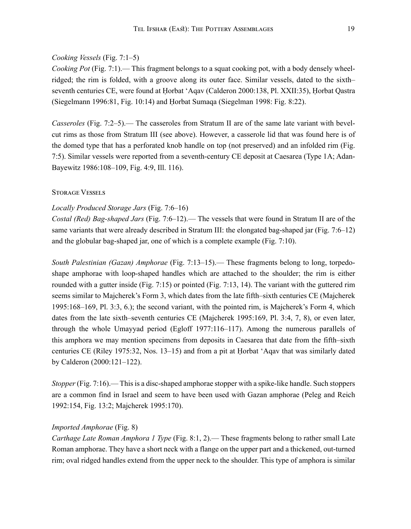### *Cooking Vessels* (Fig. 7:1–5)

*Cooking Pot* (Fig. 7:1).— This fragment belongs to a squat cooking pot, with a body densely wheelridged; the rim is folded, with a groove along its outer face. Similar vessels, dated to the sixth– seventh centuries CE, were found at Ḥorbat 'Aqav (Calderon 2000:138, Pl. XXII:35), Ḥorbat Qastra (Siegelmann 1996:81, Fig. 10:14) and Ḥorbat Sumaqa (Siegelman 1998: Fig. 8:22).

*Casseroles* (Fig. 7:2–5).— The casseroles from Stratum II are of the same late variant with bevelcut rims as those from Stratum III (see above). However, a casserole lid that was found here is of the domed type that has a perforated knob handle on top (not preserved) and an infolded rim (Fig. 7:5). Similar vessels were reported from a seventh-century CE deposit at Caesarea (Type 1A; Adan-Bayewitz 1986:108–109, Fig. 4:9, Ill. 116).

### Storage Vessels

## *Locally Produced Storage Jars* (Fig. 7:6–16)

*Costal (Red) Bag-shaped Jars* (Fig. 7:6–12).— The vessels that were found in Stratum II are of the same variants that were already described in Stratum III: the elongated bag-shaped jar (Fig. 7:6–12) and the globular bag-shaped jar, one of which is a complete example (Fig. 7:10).

*South Palestinian (Gazan) Amphorae* (Fig. 7:13–15).— These fragments belong to long, torpedoshape amphorae with loop-shaped handles which are attached to the shoulder; the rim is either rounded with a gutter inside (Fig. 7:15) or pointed (Fig. 7:13, 14). The variant with the guttered rim seems similar to Majcherek's Form 3, which dates from the late fifth–sixth centuries CE (Majcherek 1995:168–169, Pl. 3:3, 6.); the second variant, with the pointed rim, is Majcherek's Form 4, which dates from the late sixth–seventh centuries CE (Majcherek 1995:169, Pl. 3:4, 7, 8), or even later, through the whole Umayyad period (Egloff 1977:116–117). Among the numerous parallels of this amphora we may mention specimens from deposits in Caesarea that date from the fifth–sixth centuries CE (Riley 1975:32, Nos. 13–15) and from a pit at Ḥorbat 'Aqav that was similarly dated by Calderon (2000:121–122).

*Stopper* (Fig. 7:16).— This is a disc-shaped amphorae stopper with a spike-like handle. Such stoppers are a common find in Israel and seem to have been used with Gazan amphorae (Peleg and Reich 1992:154, Fig. 13:2; Majcherek 1995:170).

## *Imported Amphorae* (Fig. 8)

*Carthage Late Roman Amphora 1 Type* (Fig. 8:1, 2).— These fragments belong to rather small Late Roman amphorae. They have a short neck with a flange on the upper part and a thickened, out-turned rim; oval ridged handles extend from the upper neck to the shoulder. This type of amphora is similar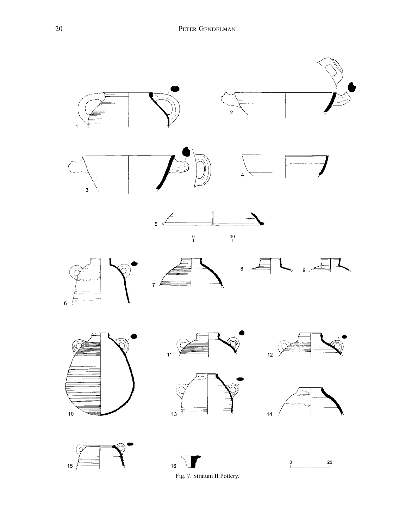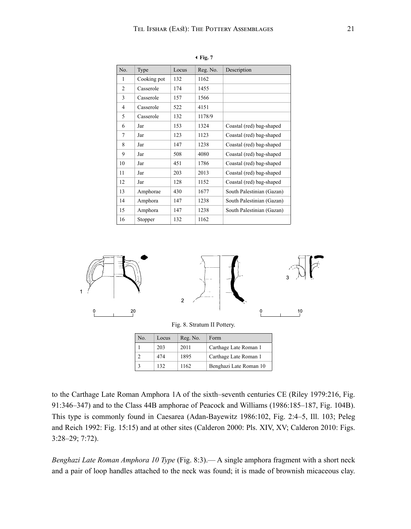| No.            | Type        | Locus | Reg. No. | Description               |
|----------------|-------------|-------|----------|---------------------------|
| 1              | Cooking pot | 132   | 1162     |                           |
| $\overline{2}$ | Casserole   | 174   | 1455     |                           |
| 3              | Casserole   | 157   | 1566     |                           |
| 4              | Casserole   | 522   | 4151     |                           |
| 5              | Casserole   | 132   | 1178/9   |                           |
| 6              | Jar         | 153   | 1324     | Coastal (red) bag-shaped  |
| 7              | Jar         | 123   | 1123     | Coastal (red) bag-shaped  |
| 8              | Jar         | 147   | 1238     | Coastal (red) bag-shaped  |
| 9              | Jar         | 508   | 4080     | Coastal (red) bag-shaped  |
| 10             | Jar         | 451   | 1786     | Coastal (red) bag-shaped  |
| 11             | Jar         | 203   | 2013     | Coastal (red) bag-shaped  |
| 12             | Jar         | 128   | 1152     | Coastal (red) bag-shaped  |
| 13             | Amphorae    | 430   | 1677     | South Palestinian (Gazan) |
| 14             | Amphora     | 147   | 1238     | South Palestinian (Gazan) |
| 15             | Amphora     | 147   | 1238     | South Palestinian (Gazan) |
| 16             | Stopper     | 132   | 1162     |                           |

**Fig. 7**



Fig. 8. Stratum II Pottery.

| No. | Locus | Reg. No. | Form                   |
|-----|-------|----------|------------------------|
|     | 203   | 2011     | Carthage Late Roman 1  |
|     | 474   | 1895     | Carthage Late Roman 1  |
|     | 132   | 1162     | Benghazi Late Roman 10 |

to the Carthage Late Roman Amphora 1A of the sixth–seventh centuries CE (Riley 1979:216, Fig. 91:346–347) and to the Class 44B amphorae of Peacock and Williams (1986:185–187, Fig. 104B). This type is commonly found in Caesarea (Adan-Bayewitz 1986:102, Fig. 2:4–5, Ill. 103; Peleg and Reich 1992: Fig. 15:15) and at other sites (Calderon 2000: Pls. XIV, XV; Calderon 2010: Figs. 3:28–29; 7:72).

*Benghazi Late Roman Amphora 10 Type* (Fig. 8:3).— A single amphora fragment with a short neck and a pair of loop handles attached to the neck was found; it is made of brownish micaceous clay.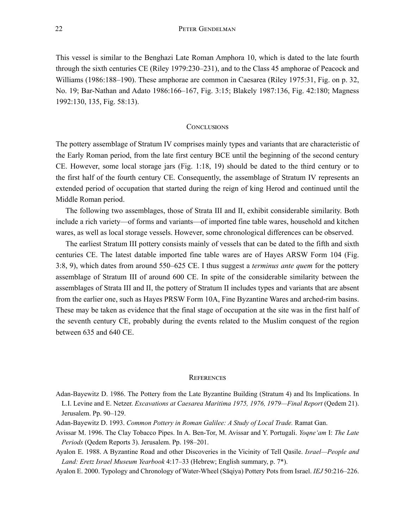This vessel is similar to the Benghazi Late Roman Amphora 10, which is dated to the late fourth through the sixth centuries CE (Riley 1979:230–231), and to the Class 45 amphorae of Peacock and Williams (1986:188–190). These amphorae are common in Caesarea (Riley 1975:31, Fig. on p. 32, No. 19; Bar-Nathan and Adato 1986:166–167, Fig. 3:15; Blakely 1987:136, Fig. 42:180; Magness 1992:130, 135, Fig. 58:13).

#### **CONCLUSIONS**

The pottery assemblage of Stratum IV comprises mainly types and variants that are characteristic of the Early Roman period, from the late first century BCE until the beginning of the second century CE. However, some local storage jars (Fig. 1:18, 19) should be dated to the third century or to the first half of the fourth century CE. Consequently, the assemblage of Stratum IV represents an extended period of occupation that started during the reign of king Herod and continued until the Middle Roman period.

The following two assemblages, those of Strata III and II, exhibit considerable similarity. Both include a rich variety—of forms and variants—of imported fine table wares, household and kitchen wares, as well as local storage vessels. However, some chronological differences can be observed.

The earliest Stratum III pottery consists mainly of vessels that can be dated to the fifth and sixth centuries CE. The latest datable imported fine table wares are of Hayes ARSW Form 104 (Fig. 3:8, 9), which dates from around 550–625 CE. I thus suggest a *terminus ante quem* for the pottery assemblage of Stratum III of around 600 CE. In spite of the considerable similarity between the assemblages of Strata III and II, the pottery of Stratum II includes types and variants that are absent from the earlier one, such as Hayes PRSW Form 10A, Fine Byzantine Wares and arched-rim basins. These may be taken as evidence that the final stage of occupation at the site was in the first half of the seventh century CE, probably during the events related to the Muslim conquest of the region between 635 and 640 CE.

#### **REFERENCES**

- Adan-Bayewitz D. 1986. The Pottery from the Late Byzantine Building (Stratum 4) and Its Implications. In L.I. Levine and E. Netzer. *Excavations at Caesarea Maritima 1975, 1976, 1979—Final Report* (Qedem 21). Jerusalem. Pp. 90–129.
- Adan-Bayewitz D. 1993. *Common Pottery in Roman Galilee: A Study of Local Trade.* Ramat Gan.
- Avissar M. 1996. The Clay Tobacco Pipes. In A. Ben-Tor, M. Avissar and Y. Portugali. *Yoqne'am* I: *The Late Periods* (Qedem Reports 3). Jerusalem. Pp. 198–201.
- Ayalon E. 1988. A Byzantine Road and other Discoveries in the Vicinity of Tell Qasile. *Israel—People and Land: Eretz Israel Museum Yearbook* 4:17–33 (Hebrew; English summary, p. 7\*).
- Ayalon E. 2000. Typology and Chronology of Water-Wheel (Sāqiya) Pottery Pots from Israel. *IEJ* 50:216–226.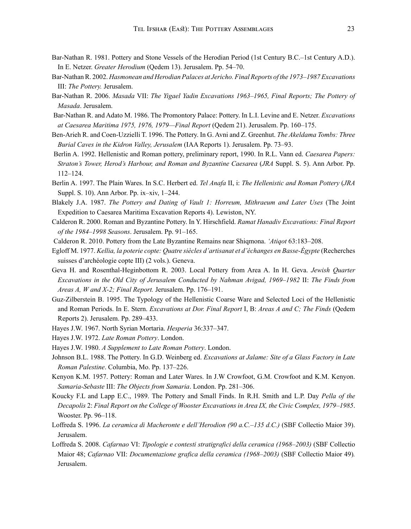- Bar-Nathan R. 1981. Pottery and Stone Vessels of the Herodian Period (1st Century B.C.–1st Century A.D.). In E. Netzer. *Greater Herodium* (Qedem 13). Jerusalem. Pp. 54–70.
- Bar-Nathan R. 2002. *Hasmonean and Herodian Palaces at Jericho. Final Reports of the 1973–1987 Excavations*  III: *The Pottery.* Jerusalem.
- Bar-Nathan R. 2006. *Masada* VII: *The Yigael Yadin Excavations 1963–1965, Final Reports; The Pottery of Masada*. Jerusalem.
- Bar-Nathan R. and Adato M. 1986. The Promontory Palace: Pottery. In L.I. Levine and E. Netzer. *Excavations at Caesarea Maritima 1975, 1976, 1979—Final Report* (Qedem 21). Jerusalem. Pp. 160–175.
- Ben-Arieh R. and Coen-Uzzielli T. 1996. The Pottery. In G. Avni and Z. Greenhut. *The Akeldama Tombs: Three Burial Caves in the Kidron Valley, Jerusalem* (IAA Reports 1). Jerusalem. Pp. 73–93.
- Berlin A. 1992. Hellenistic and Roman pottery, preliminary report, 1990. In R.L. Vann ed. *Caesarea Papers: Straton's Tower, Herod's Harbour, and Roman and Byzantine Caesarea* (*JRA* Suppl. S. 5). Ann Arbor. Pp. 112–124.
- Berlin A. 1997. The Plain Wares. In S.C. Herbert ed. *Tel Anafa* II, i: *The Hellenistic and Roman Pottery* (*JRA* Suppl. S. 10). Ann Arbor. Pp. ix–xiv, 1–244.
- Blakely J.A. 1987. *The Pottery and Dating of Vault 1: Horreum, Mithraeum and Later Uses* (The Joint Expedition to Caesarea Maritima Excavation Reports 4). Lewiston, NY.
- Calderon R. 2000. Roman and Byzantine Pottery. In Y. Hirschfield. *Ramat Hanadiv Excavations: Final Report of the 1984–1998 Seasons*. Jerusalem. Pp. 91–165.
- Calderon R. 2010. Pottery from the Late Byzantine Remains near Shiqmona. *'Atiqot* 63:183–208.
- Egloff M. 1977. *Kellia, la poterie copte: Quatre siècles d'artisanat et d'échanges en Basse-Égypte* (Recherches suisses d'archéologie copte III) (2 vols.). Geneva.
- Geva H. and Rosenthal-Heginbottom R. 2003. Local Pottery from Area A. In H. Geva. *Jewish Quarter Excavations in the Old City of Jerusalem Conducted by Nahman Avigad, 1969–1982* II: *The Finds from Areas A, W and X-2; Final Report.* Jerusalem. Pp. 176–191.
- Guz-Zilberstein B. 1995. The Typology of the Hellenistic Coarse Ware and Selected Loci of the Hellenistic and Roman Periods. In E. Stern. *Excavations at Dor. Final Report* I, B: *Areas A and C; The Finds* (Qedem Reports 2). Jerusalem. Pp. 289–433.
- Hayes J.W. 1967. North Syrian Mortaria. *Hesperia* 36:337–347.
- Hayes J.W. 1972. *Late Roman Pottery*. London.
- Hayes J.W. 1980. *A Supplement to Late Roman Pottery*. London.
- Johnson B.L. 1988. The Pottery. In G.D. Weinberg ed. *Excavations at Jalame: Site of a Glass Factory in Late Roman Palestine*. Columbia, Mo. Pp. 137–226.
- Kenyon K.M. 1957. Pottery: Roman and Later Wares. In J.W Crowfoot, G.M. Crowfoot and K.M. Kenyon. *Samaria-Sebaste* III: *The Objects from Samaria*. London. Pp. 281–306.
- Koucky F.L and Lapp E.C., 1989. The Pottery and Small Finds. In R.H. Smith and L.P. Day *Pella of the Decapolis* 2: *Final Report on the College of Wooster Excavations in Area IX, the Civic Complex, 1979–1985*. Wooster. Pp. 96–118.
- Loffreda S. 1996. *La ceramica di Macheronte e dell'Herodion (90 a.C.–135 d.C.)* (SBF Collectio Maior 39). Jerusalem.
- Loffreda S. 2008. *Cafarnao* VI: *Tipologie e contesti stratigrafici della ceramica (1968–2003)* (SBF Collectio Maior 48; *Cafarnao* VII: *Documentazione grafica della ceramica (1968–2003)* (SBF Collectio Maior 49)*.*  Jerusalem.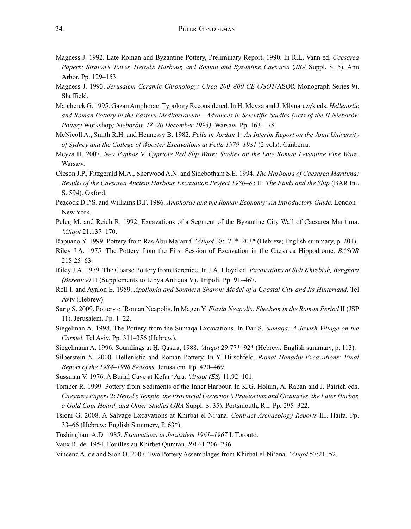- Magness J. 1992. Late Roman and Byzantine Pottery, Preliminary Report, 1990. In R.L. Vann ed. *Caesarea Papers: Straton's Tower, Herod's Harbour, and Roman and Byzantine Caesarea* (*JRA* Suppl. S. 5). Ann Arbor. Pp. 129–153.
- Magness J. 1993. *Jerusalem Ceramic Chronology: Circa 200–800 CE* (*JSOT*/ASOR Monograph Series 9). Sheffield.
- Majcherek G. 1995. Gazan Amphorae: Typology Reconsidered. In H. Meyza and J. Młynarczyk eds. *Hellenistic and Roman Pottery in the Eastern Mediterranean—Advances in Scientific Studies (Acts of the II Nieborów Pottery* Workshop*; Nieborów, 18–20 December 1993)*. Warsaw. Pp. 163–178.
- McNicoll A., Smith R.H. and Hennessy B. 1982. *Pella in Jordan* 1*: An Interim Report on the Joint University of Sydney and the College of Wooster Excavations at Pella 1979–1981* (2 vols). Canberra.
- Meyza H. 2007. *Nea Paphos* V. *Cypriote Red Slip Ware: Studies on the Late Roman Levantine Fine Ware.* Warsaw.
- Oleson J.P., Fitzgerald M.A., Sherwood A.N. and Sidebotham S.E. 1994. *The Harbours of Caesarea Maritima; Results of the Caesarea Ancient Harbour Excavation Project 1980–85* II: *The Finds and the Ship* (BAR Int. S. 594). Oxford.
- Peacock D.P.S. and Williams D.F. 1986. *Amphorae and the Roman Economy: An Introductory Guide.* London– New York.
- Peleg M. and Reich R. 1992. Excavations of a Segment of the Byzantine City Wall of Caesarea Maritima. *'Atiqot* 21:137–170.

Rapuano Y. 1999. Pottery from Ras Abu Ma'aruf. *'Atiqot* 38:171\*–203\* (Hebrew; English summary, p. 201).

- Riley J.A. 1975. The Pottery from the First Session of Excavation in the Caesarea Hippodrome. *BASOR*  218:25–63.
- Riley J.A. 1979. The Coarse Pottery from Berenice. In J.A. Lloyd ed. *Excavations at Sidi Khrebish, Benghazi (Berenice)* II (Supplements to Libya Antiqua V). Tripoli. Pp. 91–467.
- Roll I. and Ayalon E. 1989. *Apollonia and Southern Sharon: Model of a Coastal City and Its Hinterland*. Tel Aviv (Hebrew).
- Sarig S. 2009. Pottery of Roman Neapolis. In Magen Y. *Flavia Neapolis: Shechem in the Roman Period* II (JSP 11). Jerusalem. Pp. 1–22.
- Siegelman A. 1998. The Pottery from the Sumaqa Excavations. In Dar S. *Sumaqa: A Jewish Village on the Carmel.* Tel Aviv. Pp. 311–356 (Hebrew).

Siegelmann A. 1996. Soundings at Ḥ. Qastra, 1988. *'Atiqot* 29:77\*–92\* (Hebrew; English summary, p. 113).

Silberstein N. 2000. Hellenistic and Roman Pottery. In Y. Hirschfeld. *Ramat Hanadiv Excavations: Final Report of the 1984–1998 Seasons*. Jerusalem. Pp. 420–469.

Sussman V. 1976. A Burial Cave at Kefar 'Ara. *'Atiqot (ES)* 11:92–101.

- Tomber R. 1999. Pottery from Sediments of the Inner Harbour. In K.G. Holum, A. Raban and J. Patrich eds. *Caesarea Papers* 2: *Herod's Temple, the Provincial Governor's Praetorium and Granaries, the Later Harbor, a Gold Coin Hoard, and Other Studies* (*JRA* Suppl. S. 35). Portsmouth, R.I. Pp. 295–322.
- Tsioni G. 2008. A Salvage Excavations at Khirbat el-Ni'ana. *Contract Archaeology Reports* III. Haifa. Pp. 33–66 (Hebrew; English Summery, P. 63\*).
- Tushingham A.D. 1985. *Excavations in Jerusalem 1961–1967* I. Toronto.

Vaux R. de. 1954. Fouilles au Khirbet Qumrân. *RB* 61:206–236.

Vincenz A. de and Sion O. 2007. Two Pottery Assemblages from Khirbat el-Ni'ana. *'Atiqot* 57:21–52.